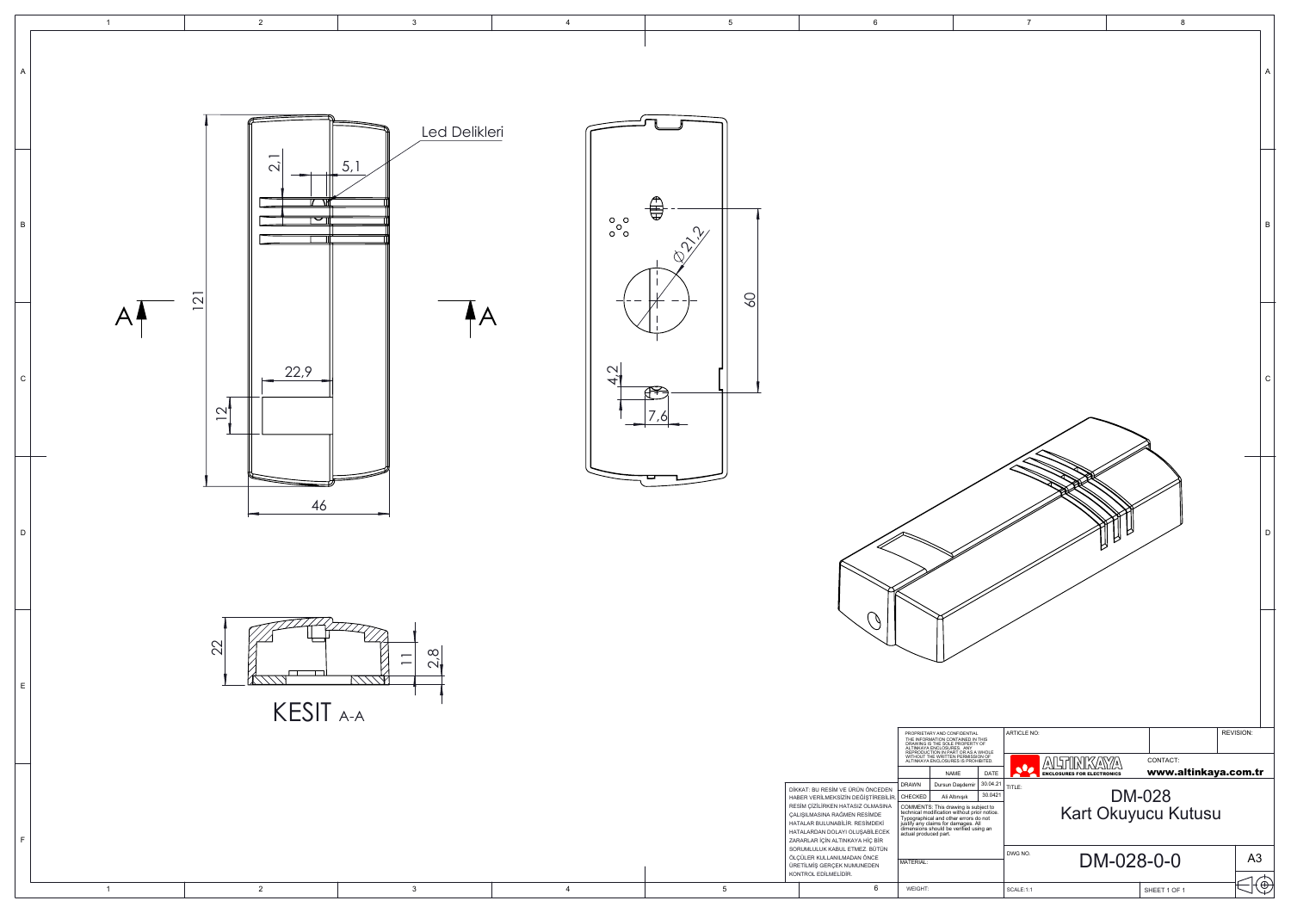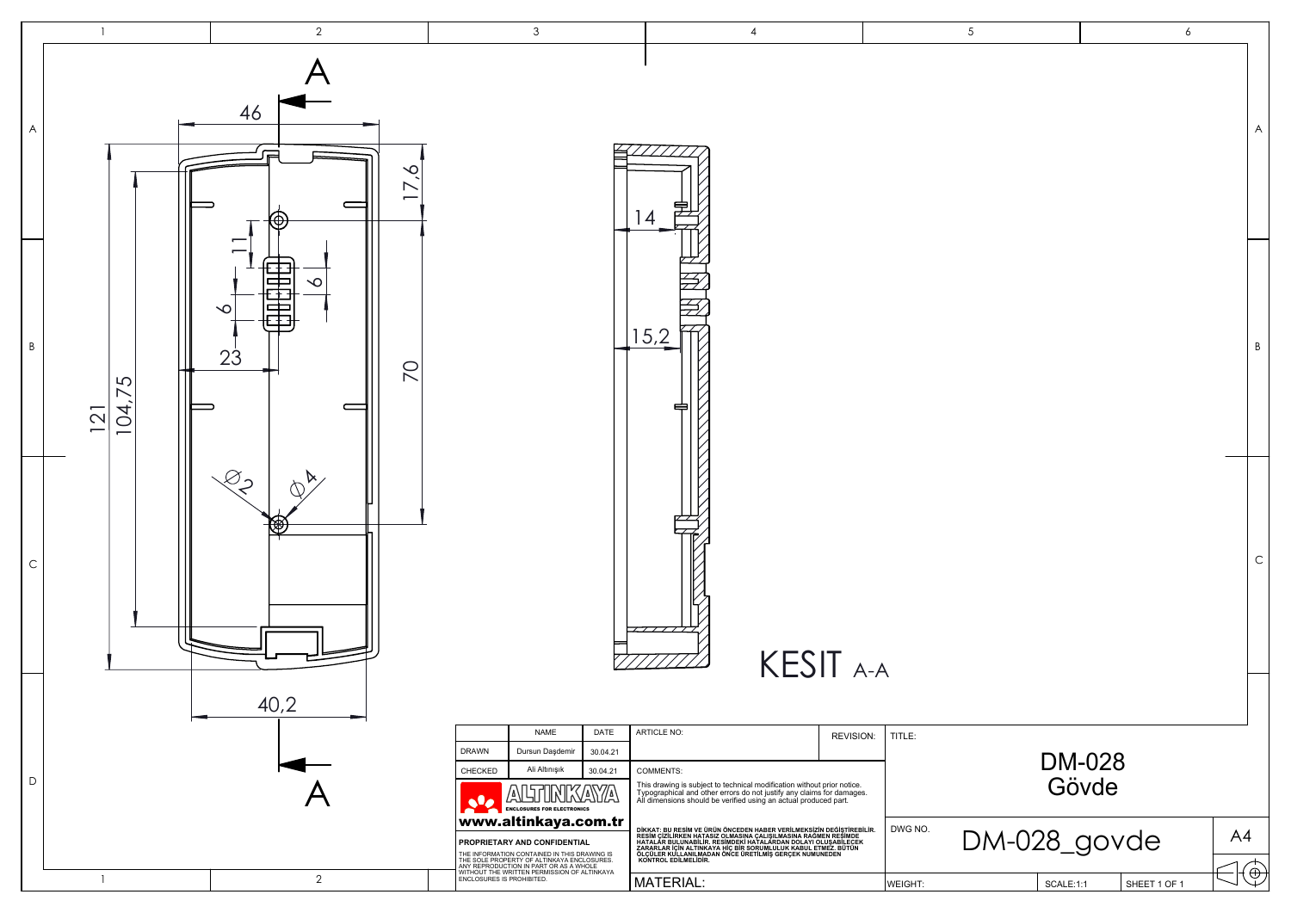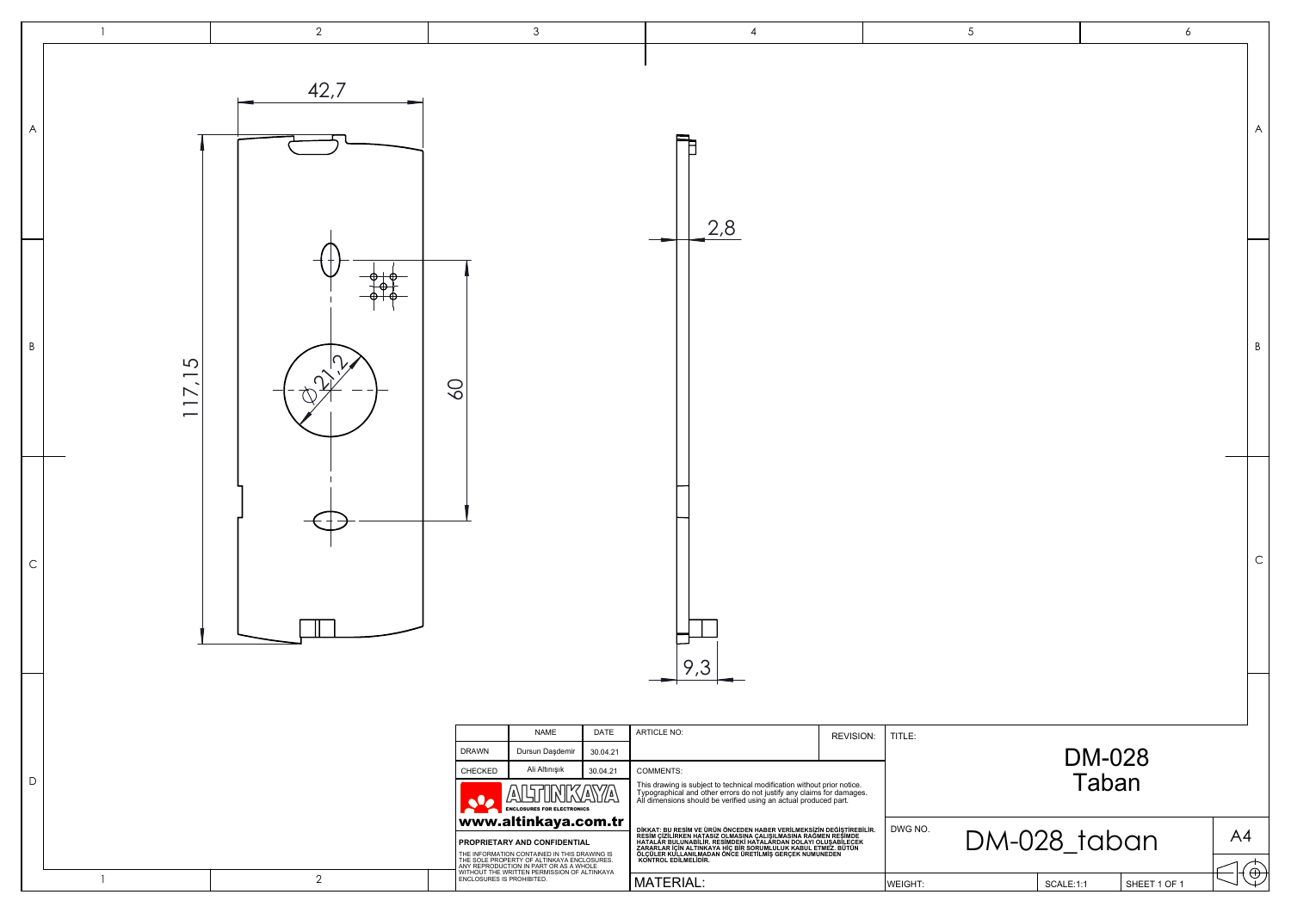